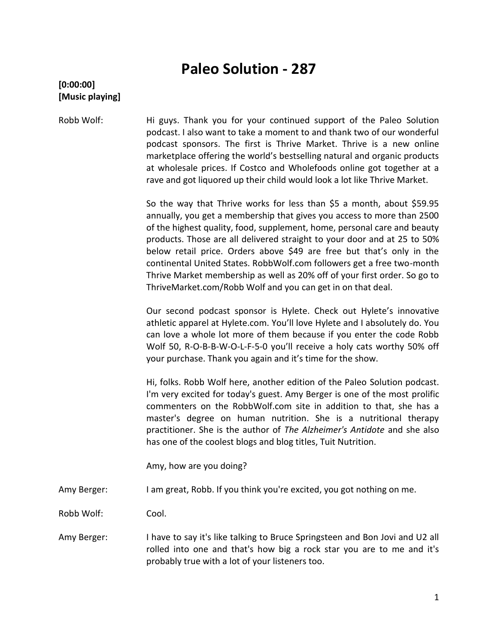# **Paleo Solution - 287**

## **[0:00:00] [Music playing]**

Robb Wolf: Hi guys. Thank you for your continued support of the Paleo Solution podcast. I also want to take a moment to and thank two of our wonderful podcast sponsors. The first is Thrive Market. Thrive is a new online marketplace offering the world's bestselling natural and organic products at wholesale prices. If Costco and Wholefoods online got together at a rave and got liquored up their child would look a lot like Thrive Market.

> So the way that Thrive works for less than \$5 a month, about \$59.95 annually, you get a membership that gives you access to more than 2500 of the highest quality, food, supplement, home, personal care and beauty products. Those are all delivered straight to your door and at 25 to 50% below retail price. Orders above \$49 are free but that's only in the continental United States. RobbWolf.com followers get a free two-month Thrive Market membership as well as 20% off of your first order. So go to ThriveMarket.com/Robb Wolf and you can get in on that deal.

> Our second podcast sponsor is Hylete. Check out Hylete's innovative athletic apparel at Hylete.com. You'll love Hylete and I absolutely do. You can love a whole lot more of them because if you enter the code Robb Wolf 50, R-O-B-B-W-O-L-F-5-0 you'll receive a holy cats worthy 50% off your purchase. Thank you again and it's time for the show.

> Hi, folks. Robb Wolf here, another edition of the Paleo Solution podcast. I'm very excited for today's guest. Amy Berger is one of the most prolific commenters on the RobbWolf.com site in addition to that, she has a master's degree on human nutrition. She is a nutritional therapy practitioner. She is the author of *The Alzheimer's Antidote* and she also has one of the coolest blogs and blog titles, Tuit Nutrition.

Amy, how are you doing?

Amy Berger: I am great, Robb. If you think you're excited, you got nothing on me.

Robb Wolf: Cool.

Amy Berger: I have to say it's like talking to Bruce Springsteen and Bon Jovi and U2 all rolled into one and that's how big a rock star you are to me and it's probably true with a lot of your listeners too.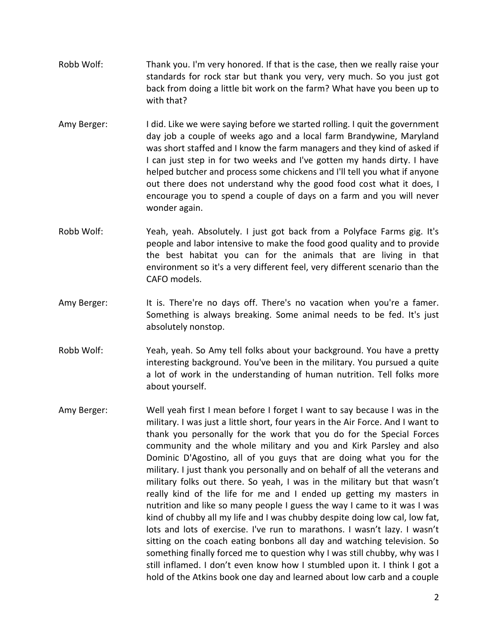- Robb Wolf: Thank you. I'm very honored. If that is the case, then we really raise your standards for rock star but thank you very, very much. So you just got back from doing a little bit work on the farm? What have you been up to with that?
- Amy Berger: I did. Like we were saying before we started rolling. I quit the government day job a couple of weeks ago and a local farm Brandywine, Maryland was short staffed and I know the farm managers and they kind of asked if I can just step in for two weeks and I've gotten my hands dirty. I have helped butcher and process some chickens and I'll tell you what if anyone out there does not understand why the good food cost what it does, I encourage you to spend a couple of days on a farm and you will never wonder again.
- Robb Wolf: Yeah, yeah. Absolutely. I just got back from a Polyface Farms gig. It's people and labor intensive to make the food good quality and to provide the best habitat you can for the animals that are living in that environment so it's a very different feel, very different scenario than the CAFO models.
- Amy Berger: It is. There're no days off. There's no vacation when you're a famer. Something is always breaking. Some animal needs to be fed. It's just absolutely nonstop.
- Robb Wolf: Yeah, yeah. So Amy tell folks about your background. You have a pretty interesting background. You've been in the military. You pursued a quite a lot of work in the understanding of human nutrition. Tell folks more about yourself.
- Amy Berger: Well yeah first I mean before I forget I want to say because I was in the military. I was just a little short, four years in the Air Force. And I want to thank you personally for the work that you do for the Special Forces community and the whole military and you and Kirk Parsley and also Dominic D'Agostino, all of you guys that are doing what you for the military. I just thank you personally and on behalf of all the veterans and military folks out there. So yeah, I was in the military but that wasn't really kind of the life for me and I ended up getting my masters in nutrition and like so many people I guess the way I came to it was I was kind of chubby all my life and I was chubby despite doing low cal, low fat, lots and lots of exercise. I've run to marathons. I wasn't lazy. I wasn't sitting on the coach eating bonbons all day and watching television. So something finally forced me to question why I was still chubby, why was I still inflamed. I don't even know how I stumbled upon it. I think I got a hold of the Atkins book one day and learned about low carb and a couple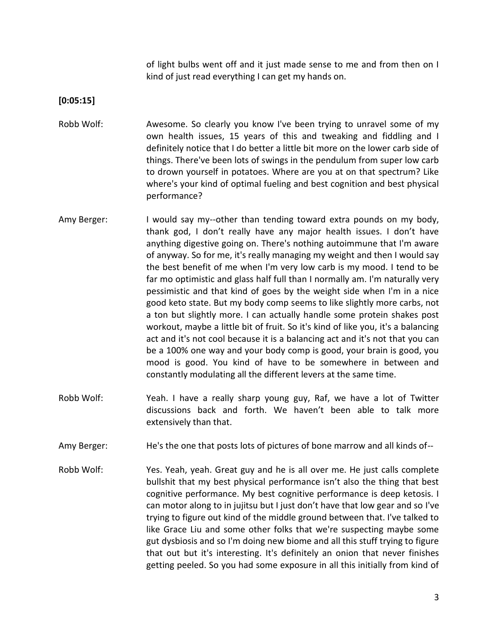of light bulbs went off and it just made sense to me and from then on I kind of just read everything I can get my hands on.

**[0:05:15]**

- Robb Wolf: Awesome. So clearly you know I've been trying to unravel some of my own health issues, 15 years of this and tweaking and fiddling and I definitely notice that I do better a little bit more on the lower carb side of things. There've been lots of swings in the pendulum from super low carb to drown yourself in potatoes. Where are you at on that spectrum? Like where's your kind of optimal fueling and best cognition and best physical performance?
- Amy Berger: I would say my--other than tending toward extra pounds on my body, thank god, I don't really have any major health issues. I don't have anything digestive going on. There's nothing autoimmune that I'm aware of anyway. So for me, it's really managing my weight and then I would say the best benefit of me when I'm very low carb is my mood. I tend to be far mo optimistic and glass half full than I normally am. I'm naturally very pessimistic and that kind of goes by the weight side when I'm in a nice good keto state. But my body comp seems to like slightly more carbs, not a ton but slightly more. I can actually handle some protein shakes post workout, maybe a little bit of fruit. So it's kind of like you, it's a balancing act and it's not cool because it is a balancing act and it's not that you can be a 100% one way and your body comp is good, your brain is good, you mood is good. You kind of have to be somewhere in between and constantly modulating all the different levers at the same time.
- Robb Wolf: Yeah. I have a really sharp young guy, Raf, we have a lot of Twitter discussions back and forth. We haven't been able to talk more extensively than that.
- Amy Berger: He's the one that posts lots of pictures of bone marrow and all kinds of--
- Robb Wolf: Yes. Yeah, yeah. Great guy and he is all over me. He just calls complete bullshit that my best physical performance isn't also the thing that best cognitive performance. My best cognitive performance is deep ketosis. I can motor along to in jujitsu but I just don't have that low gear and so I've trying to figure out kind of the middle ground between that. I've talked to like Grace Liu and some other folks that we're suspecting maybe some gut dysbiosis and so I'm doing new biome and all this stuff trying to figure that out but it's interesting. It's definitely an onion that never finishes getting peeled. So you had some exposure in all this initially from kind of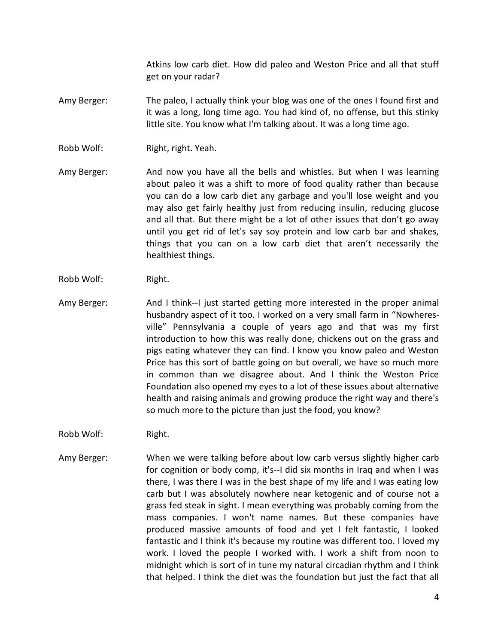Atkins low carb diet. How did paleo and Weston Price and all that stuff get on your radar?

- Amy Berger: The paleo, I actually think your blog was one of the ones I found first and it was a long, long time ago. You had kind of, no offense, but this stinky little site. You know what I'm talking about. It was a long time ago.
- Robb Wolf: Right, right. Yeah.
- Amy Berger: And now you have all the bells and whistles. But when I was learning about paleo it was a shift to more of food quality rather than because you can do a low carb diet any garbage and you'll lose weight and you may also get fairly healthy just from reducing insulin, reducing glucose and all that. But there might be a lot of other issues that don't go away until you get rid of let's say soy protein and low carb bar and shakes, things that you can on a low carb diet that aren't necessarily the healthiest things.
- Robb Wolf: Right.
- Amy Berger: And I think--I just started getting more interested in the proper animal husbandry aspect of it too. I worked on a very small farm in "Nowheresville" Pennsylvania a couple of years ago and that was my first introduction to how this was really done, chickens out on the grass and pigs eating whatever they can find. I know you know paleo and Weston Price has this sort of battle going on but overall, we have so much more in common than we disagree about. And I think the Weston Price Foundation also opened my eyes to a lot of these issues about alternative health and raising animals and growing produce the right way and there's so much more to the picture than just the food, you know?
- Robb Wolf: Right.
- Amy Berger: When we were talking before about low carb versus slightly higher carb for cognition or body comp, it's--I did six months in Iraq and when I was there, I was there I was in the best shape of my life and I was eating low carb but I was absolutely nowhere near ketogenic and of course not a grass fed steak in sight. I mean everything was probably coming from the mass companies. I won't name names. But these companies have produced massive amounts of food and yet I felt fantastic, I looked fantastic and I think it's because my routine was different too. I loved my work. I loved the people I worked with. I work a shift from noon to midnight which is sort of in tune my natural circadian rhythm and I think that helped. I think the diet was the foundation but just the fact that all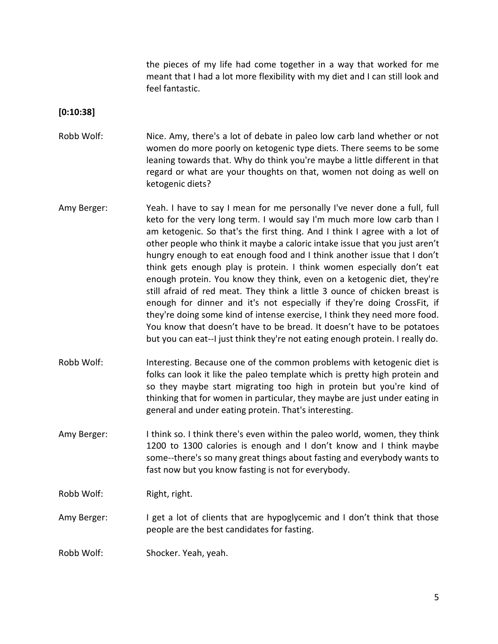the pieces of my life had come together in a way that worked for me meant that I had a lot more flexibility with my diet and I can still look and feel fantastic.

#### **[0:10:38]**

- Robb Wolf: Nice. Amy, there's a lot of debate in paleo low carb land whether or not women do more poorly on ketogenic type diets. There seems to be some leaning towards that. Why do think you're maybe a little different in that regard or what are your thoughts on that, women not doing as well on ketogenic diets?
- Amy Berger: Yeah. I have to say I mean for me personally I've never done a full, full keto for the very long term. I would say I'm much more low carb than I am ketogenic. So that's the first thing. And I think I agree with a lot of other people who think it maybe a caloric intake issue that you just aren't hungry enough to eat enough food and I think another issue that I don't think gets enough play is protein. I think women especially don't eat enough protein. You know they think, even on a ketogenic diet, they're still afraid of red meat. They think a little 3 ounce of chicken breast is enough for dinner and it's not especially if they're doing CrossFit, if they're doing some kind of intense exercise, I think they need more food. You know that doesn't have to be bread. It doesn't have to be potatoes but you can eat--I just think they're not eating enough protein. I really do.
- Robb Wolf: Interesting. Because one of the common problems with ketogenic diet is folks can look it like the paleo template which is pretty high protein and so they maybe start migrating too high in protein but you're kind of thinking that for women in particular, they maybe are just under eating in general and under eating protein. That's interesting.
- Amy Berger: I think so. I think there's even within the paleo world, women, they think 1200 to 1300 calories is enough and I don't know and I think maybe some--there's so many great things about fasting and everybody wants to fast now but you know fasting is not for everybody.

Robb Wolf: Right, right.

Amy Berger: I get a lot of clients that are hypoglycemic and I don't think that those people are the best candidates for fasting.

Robb Wolf: Shocker. Yeah, yeah.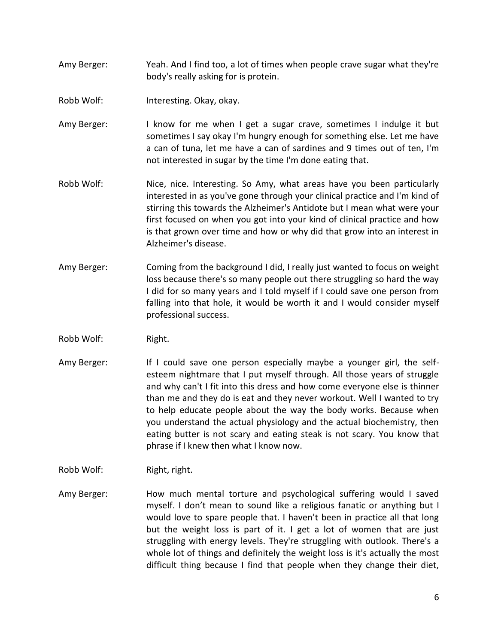- Amy Berger: Yeah. And I find too, a lot of times when people crave sugar what they're body's really asking for is protein.
- Robb Wolf: Interesting. Okay, okay.
- Amy Berger: I know for me when I get a sugar crave, sometimes I indulge it but sometimes I say okay I'm hungry enough for something else. Let me have a can of tuna, let me have a can of sardines and 9 times out of ten, I'm not interested in sugar by the time I'm done eating that.
- Robb Wolf: Nice, nice. Interesting. So Amy, what areas have you been particularly interested in as you've gone through your clinical practice and I'm kind of stirring this towards the Alzheimer's Antidote but I mean what were your first focused on when you got into your kind of clinical practice and how is that grown over time and how or why did that grow into an interest in Alzheimer's disease.
- Amy Berger: Coming from the background I did, I really just wanted to focus on weight loss because there's so many people out there struggling so hard the way I did for so many years and I told myself if I could save one person from falling into that hole, it would be worth it and I would consider myself professional success.
- Robb Wolf: Right.
- Amy Berger: If I could save one person especially maybe a younger girl, the selfesteem nightmare that I put myself through. All those years of struggle and why can't I fit into this dress and how come everyone else is thinner than me and they do is eat and they never workout. Well I wanted to try to help educate people about the way the body works. Because when you understand the actual physiology and the actual biochemistry, then eating butter is not scary and eating steak is not scary. You know that phrase if I knew then what I know now.
- Robb Wolf: Right, right.
- Amy Berger: How much mental torture and psychological suffering would I saved myself. I don't mean to sound like a religious fanatic or anything but I would love to spare people that. I haven't been in practice all that long but the weight loss is part of it. I get a lot of women that are just struggling with energy levels. They're struggling with outlook. There's a whole lot of things and definitely the weight loss is it's actually the most difficult thing because I find that people when they change their diet,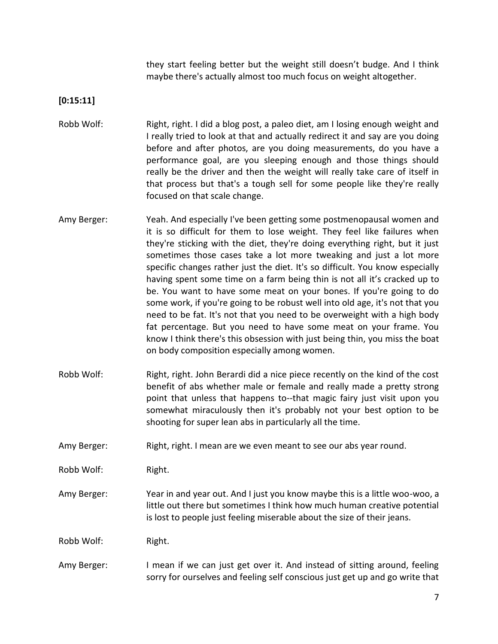they start feeling better but the weight still doesn't budge. And I think maybe there's actually almost too much focus on weight altogether.

**[0:15:11]**

- Robb Wolf: Right, right. I did a blog post, a paleo diet, am I losing enough weight and I really tried to look at that and actually redirect it and say are you doing before and after photos, are you doing measurements, do you have a performance goal, are you sleeping enough and those things should really be the driver and then the weight will really take care of itself in that process but that's a tough sell for some people like they're really focused on that scale change.
- Amy Berger: Yeah. And especially I've been getting some postmenopausal women and it is so difficult for them to lose weight. They feel like failures when they're sticking with the diet, they're doing everything right, but it just sometimes those cases take a lot more tweaking and just a lot more specific changes rather just the diet. It's so difficult. You know especially having spent some time on a farm being thin is not all it's cracked up to be. You want to have some meat on your bones. If you're going to do some work, if you're going to be robust well into old age, it's not that you need to be fat. It's not that you need to be overweight with a high body fat percentage. But you need to have some meat on your frame. You know I think there's this obsession with just being thin, you miss the boat on body composition especially among women.
- Robb Wolf: Right, right. John Berardi did a nice piece recently on the kind of the cost benefit of abs whether male or female and really made a pretty strong point that unless that happens to--that magic fairy just visit upon you somewhat miraculously then it's probably not your best option to be shooting for super lean abs in particularly all the time.
- Amy Berger: Right, right. I mean are we even meant to see our abs year round.

Robb Wolf: Right.

Amy Berger: Year in and year out. And I just you know maybe this is a little woo-woo, a little out there but sometimes I think how much human creative potential is lost to people just feeling miserable about the size of their jeans.

Robb Wolf: Right.

Amy Berger: I mean if we can just get over it. And instead of sitting around, feeling sorry for ourselves and feeling self conscious just get up and go write that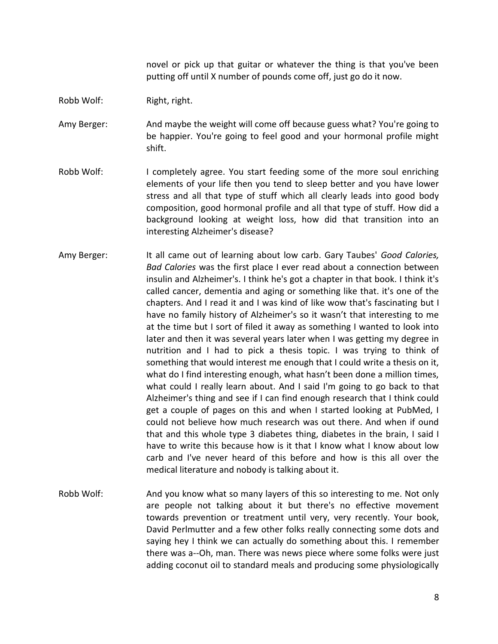novel or pick up that guitar or whatever the thing is that you've been putting off until X number of pounds come off, just go do it now.

#### Robb Wolf: Right, right.

Amy Berger: And maybe the weight will come off because guess what? You're going to be happier. You're going to feel good and your hormonal profile might shift.

- Robb Wolf: I completely agree. You start feeding some of the more soul enriching elements of your life then you tend to sleep better and you have lower stress and all that type of stuff which all clearly leads into good body composition, good hormonal profile and all that type of stuff. How did a background looking at weight loss, how did that transition into an interesting Alzheimer's disease?
- Amy Berger: It all came out of learning about low carb. Gary Taubes' *Good Calories, Bad Calories* was the first place I ever read about a connection between insulin and Alzheimer's. I think he's got a chapter in that book. I think it's called cancer, dementia and aging or something like that. it's one of the chapters. And I read it and I was kind of like wow that's fascinating but I have no family history of Alzheimer's so it wasn't that interesting to me at the time but I sort of filed it away as something I wanted to look into later and then it was several years later when I was getting my degree in nutrition and I had to pick a thesis topic. I was trying to think of something that would interest me enough that I could write a thesis on it, what do I find interesting enough, what hasn't been done a million times, what could I really learn about. And I said I'm going to go back to that Alzheimer's thing and see if I can find enough research that I think could get a couple of pages on this and when I started looking at PubMed, I could not believe how much research was out there. And when if ound that and this whole type 3 diabetes thing, diabetes in the brain, I said I have to write this because how is it that I know what I know about low carb and I've never heard of this before and how is this all over the medical literature and nobody is talking about it.
- Robb Wolf: And you know what so many layers of this so interesting to me. Not only are people not talking about it but there's no effective movement towards prevention or treatment until very, very recently. Your book, David Perlmutter and a few other folks really connecting some dots and saying hey I think we can actually do something about this. I remember there was a--Oh, man. There was news piece where some folks were just adding coconut oil to standard meals and producing some physiologically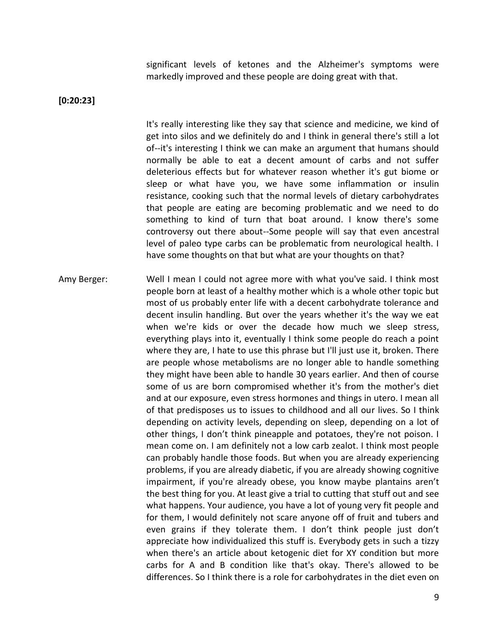significant levels of ketones and the Alzheimer's symptoms were markedly improved and these people are doing great with that.

**[0:20:23]**

It's really interesting like they say that science and medicine, we kind of get into silos and we definitely do and I think in general there's still a lot of--it's interesting I think we can make an argument that humans should normally be able to eat a decent amount of carbs and not suffer deleterious effects but for whatever reason whether it's gut biome or sleep or what have you, we have some inflammation or insulin resistance, cooking such that the normal levels of dietary carbohydrates that people are eating are becoming problematic and we need to do something to kind of turn that boat around. I know there's some controversy out there about--Some people will say that even ancestral level of paleo type carbs can be problematic from neurological health. I have some thoughts on that but what are your thoughts on that?

Amy Berger: Well I mean I could not agree more with what you've said. I think most people born at least of a healthy mother which is a whole other topic but most of us probably enter life with a decent carbohydrate tolerance and decent insulin handling. But over the years whether it's the way we eat when we're kids or over the decade how much we sleep stress, everything plays into it, eventually I think some people do reach a point where they are, I hate to use this phrase but I'll just use it, broken. There are people whose metabolisms are no longer able to handle something they might have been able to handle 30 years earlier. And then of course some of us are born compromised whether it's from the mother's diet and at our exposure, even stress hormones and things in utero. I mean all of that predisposes us to issues to childhood and all our lives. So I think depending on activity levels, depending on sleep, depending on a lot of other things, I don't think pineapple and potatoes, they're not poison. I mean come on. I am definitely not a low carb zealot. I think most people can probably handle those foods. But when you are already experiencing problems, if you are already diabetic, if you are already showing cognitive impairment, if you're already obese, you know maybe plantains aren't the best thing for you. At least give a trial to cutting that stuff out and see what happens. Your audience, you have a lot of young very fit people and for them, I would definitely not scare anyone off of fruit and tubers and even grains if they tolerate them. I don't think people just don't appreciate how individualized this stuff is. Everybody gets in such a tizzy when there's an article about ketogenic diet for XY condition but more carbs for A and B condition like that's okay. There's allowed to be differences. So I think there is a role for carbohydrates in the diet even on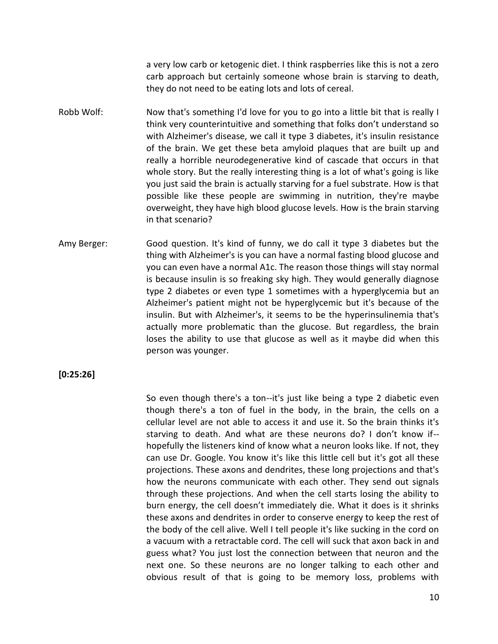a very low carb or ketogenic diet. I think raspberries like this is not a zero carb approach but certainly someone whose brain is starving to death, they do not need to be eating lots and lots of cereal.

- Robb Wolf: Now that's something I'd love for you to go into a little bit that is really I think very counterintuitive and something that folks don't understand so with Alzheimer's disease, we call it type 3 diabetes, it's insulin resistance of the brain. We get these beta amyloid plaques that are built up and really a horrible neurodegenerative kind of cascade that occurs in that whole story. But the really interesting thing is a lot of what's going is like you just said the brain is actually starving for a fuel substrate. How is that possible like these people are swimming in nutrition, they're maybe overweight, they have high blood glucose levels. How is the brain starving in that scenario?
- Amy Berger: Good question. It's kind of funny, we do call it type 3 diabetes but the thing with Alzheimer's is you can have a normal fasting blood glucose and you can even have a normal A1c. The reason those things will stay normal is because insulin is so freaking sky high. They would generally diagnose type 2 diabetes or even type 1 sometimes with a hyperglycemia but an Alzheimer's patient might not be hyperglycemic but it's because of the insulin. But with Alzheimer's, it seems to be the hyperinsulinemia that's actually more problematic than the glucose. But regardless, the brain loses the ability to use that glucose as well as it maybe did when this person was younger.

**[0:25:26]**

So even though there's a ton--it's just like being a type 2 diabetic even though there's a ton of fuel in the body, in the brain, the cells on a cellular level are not able to access it and use it. So the brain thinks it's starving to death. And what are these neurons do? I don't know if- hopefully the listeners kind of know what a neuron looks like. If not, they can use Dr. Google. You know it's like this little cell but it's got all these projections. These axons and dendrites, these long projections and that's how the neurons communicate with each other. They send out signals through these projections. And when the cell starts losing the ability to burn energy, the cell doesn't immediately die. What it does is it shrinks these axons and dendrites in order to conserve energy to keep the rest of the body of the cell alive. Well I tell people it's like sucking in the cord on a vacuum with a retractable cord. The cell will suck that axon back in and guess what? You just lost the connection between that neuron and the next one. So these neurons are no longer talking to each other and obvious result of that is going to be memory loss, problems with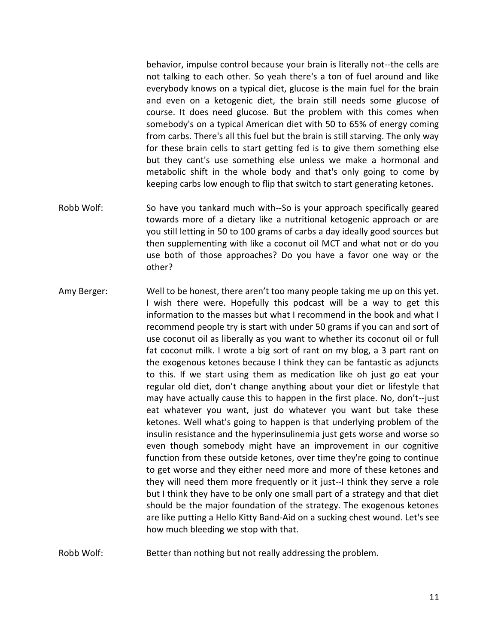behavior, impulse control because your brain is literally not--the cells are not talking to each other. So yeah there's a ton of fuel around and like everybody knows on a typical diet, glucose is the main fuel for the brain and even on a ketogenic diet, the brain still needs some glucose of course. It does need glucose. But the problem with this comes when somebody's on a typical American diet with 50 to 65% of energy coming from carbs. There's all this fuel but the brain is still starving. The only way for these brain cells to start getting fed is to give them something else but they cant's use something else unless we make a hormonal and metabolic shift in the whole body and that's only going to come by keeping carbs low enough to flip that switch to start generating ketones.

- Robb Wolf: So have you tankard much with--So is your approach specifically geared towards more of a dietary like a nutritional ketogenic approach or are you still letting in 50 to 100 grams of carbs a day ideally good sources but then supplementing with like a coconut oil MCT and what not or do you use both of those approaches? Do you have a favor one way or the other?
- Amy Berger: Well to be honest, there aren't too many people taking me up on this yet. I wish there were. Hopefully this podcast will be a way to get this information to the masses but what I recommend in the book and what I recommend people try is start with under 50 grams if you can and sort of use coconut oil as liberally as you want to whether its coconut oil or full fat coconut milk. I wrote a big sort of rant on my blog, a 3 part rant on the exogenous ketones because I think they can be fantastic as adjuncts to this. If we start using them as medication like oh just go eat your regular old diet, don't change anything about your diet or lifestyle that may have actually cause this to happen in the first place. No, don't--just eat whatever you want, just do whatever you want but take these ketones. Well what's going to happen is that underlying problem of the insulin resistance and the hyperinsulinemia just gets worse and worse so even though somebody might have an improvement in our cognitive function from these outside ketones, over time they're going to continue to get worse and they either need more and more of these ketones and they will need them more frequently or it just--I think they serve a role but I think they have to be only one small part of a strategy and that diet should be the major foundation of the strategy. The exogenous ketones are like putting a Hello Kitty Band-Aid on a sucking chest wound. Let's see how much bleeding we stop with that.
- Robb Wolf: Better than nothing but not really addressing the problem.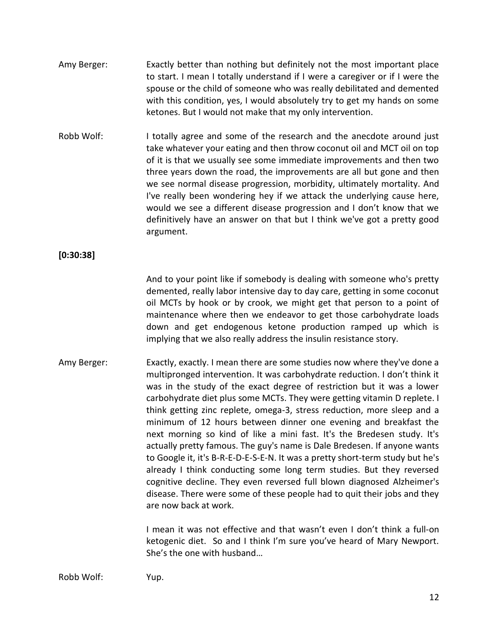- Amy Berger: Exactly better than nothing but definitely not the most important place to start. I mean I totally understand if I were a caregiver or if I were the spouse or the child of someone who was really debilitated and demented with this condition, yes, I would absolutely try to get my hands on some ketones. But I would not make that my only intervention.
- Robb Wolf: I totally agree and some of the research and the anecdote around just take whatever your eating and then throw coconut oil and MCT oil on top of it is that we usually see some immediate improvements and then two three years down the road, the improvements are all but gone and then we see normal disease progression, morbidity, ultimately mortality. And I've really been wondering hey if we attack the underlying cause here, would we see a different disease progression and I don't know that we definitively have an answer on that but I think we've got a pretty good argument.

### **[0:30:38]**

And to your point like if somebody is dealing with someone who's pretty demented, really labor intensive day to day care, getting in some coconut oil MCTs by hook or by crook, we might get that person to a point of maintenance where then we endeavor to get those carbohydrate loads down and get endogenous ketone production ramped up which is implying that we also really address the insulin resistance story.

Amy Berger: Exactly, exactly. I mean there are some studies now where they've done a multipronged intervention. It was carbohydrate reduction. I don't think it was in the study of the exact degree of restriction but it was a lower carbohydrate diet plus some MCTs. They were getting vitamin D replete. I think getting zinc replete, omega-3, stress reduction, more sleep and a minimum of 12 hours between dinner one evening and breakfast the next morning so kind of like a mini fast. It's the Bredesen study. It's actually pretty famous. The guy's name is Dale Bredesen. If anyone wants to Google it, it's B-R-E-D-E-S-E-N. It was a pretty short-term study but he's already I think conducting some long term studies. But they reversed cognitive decline. They even reversed full blown diagnosed Alzheimer's disease. There were some of these people had to quit their jobs and they are now back at work.

> I mean it was not effective and that wasn't even I don't think a full-on ketogenic diet. So and I think I'm sure you've heard of Mary Newport. She's the one with husband…

Robb Wolf: Yup.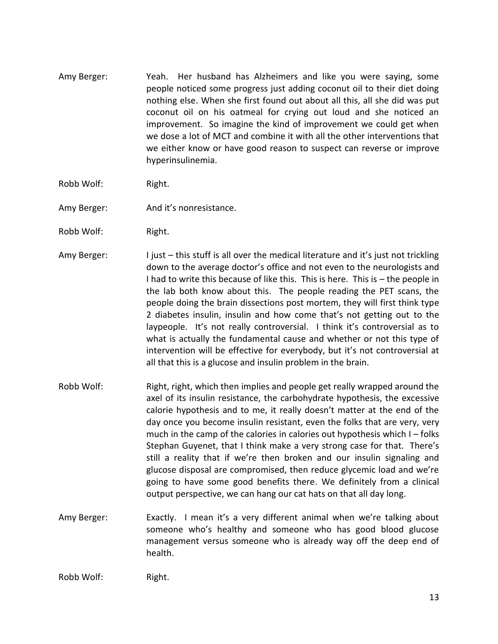- Amy Berger: Yeah. Her husband has Alzheimers and like you were saying, some people noticed some progress just adding coconut oil to their diet doing nothing else. When she first found out about all this, all she did was put coconut oil on his oatmeal for crying out loud and she noticed an improvement. So imagine the kind of improvement we could get when we dose a lot of MCT and combine it with all the other interventions that we either know or have good reason to suspect can reverse or improve hyperinsulinemia.
- Robb Wolf: Right.
- Amy Berger: And it's nonresistance.
- Robb Wolf: Right.
- Amy Berger: I just this stuff is all over the medical literature and it's just not trickling down to the average doctor's office and not even to the neurologists and I had to write this because of like this. This is here. This is – the people in the lab both know about this. The people reading the PET scans, the people doing the brain dissections post mortem, they will first think type 2 diabetes insulin, insulin and how come that's not getting out to the laypeople. It's not really controversial. I think it's controversial as to what is actually the fundamental cause and whether or not this type of intervention will be effective for everybody, but it's not controversial at all that this is a glucose and insulin problem in the brain.
- Robb Wolf: Right, right, which then implies and people get really wrapped around the axel of its insulin resistance, the carbohydrate hypothesis, the excessive calorie hypothesis and to me, it really doesn't matter at the end of the day once you become insulin resistant, even the folks that are very, very much in the camp of the calories in calories out hypothesis which  $I - f$ olks Stephan Guyenet, that I think make a very strong case for that. There's still a reality that if we're then broken and our insulin signaling and glucose disposal are compromised, then reduce glycemic load and we're going to have some good benefits there. We definitely from a clinical output perspective, we can hang our cat hats on that all day long.
- Amy Berger: Exactly. I mean it's a very different animal when we're talking about someone who's healthy and someone who has good blood glucose management versus someone who is already way off the deep end of health.

Robb Wolf: Right.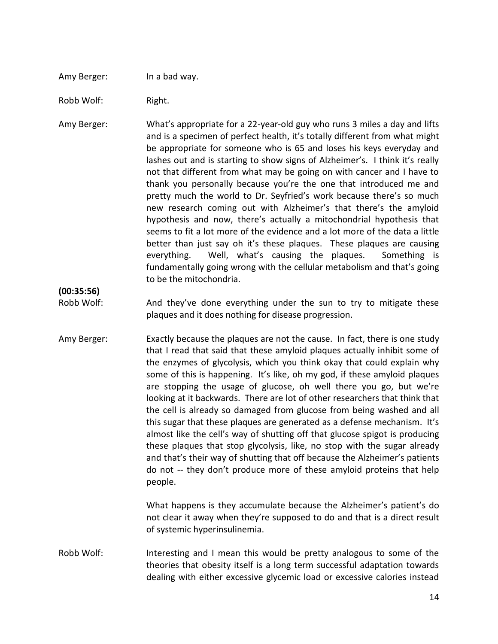#### Amy Berger: In a bad way.

Robb Wolf: Right.

Amy Berger: What's appropriate for a 22-year-old guy who runs 3 miles a day and lifts and is a specimen of perfect health, it's totally different from what might be appropriate for someone who is 65 and loses his keys everyday and lashes out and is starting to show signs of Alzheimer's. I think it's really not that different from what may be going on with cancer and I have to thank you personally because you're the one that introduced me and pretty much the world to Dr. Seyfried's work because there's so much new research coming out with Alzheimer's that there's the amyloid hypothesis and now, there's actually a mitochondrial hypothesis that seems to fit a lot more of the evidence and a lot more of the data a little better than just say oh it's these plaques. These plaques are causing everything. Well, what's causing the plaques. Something is fundamentally going wrong with the cellular metabolism and that's going to be the mitochondria.

**(00:35:56)**

- Robb Wolf: And they've done everything under the sun to try to mitigate these plaques and it does nothing for disease progression.
- Amy Berger: Exactly because the plaques are not the cause. In fact, there is one study that I read that said that these amyloid plaques actually inhibit some of the enzymes of glycolysis, which you think okay that could explain why some of this is happening. It's like, oh my god, if these amyloid plaques are stopping the usage of glucose, oh well there you go, but we're looking at it backwards. There are lot of other researchers that think that the cell is already so damaged from glucose from being washed and all this sugar that these plaques are generated as a defense mechanism. It's almost like the cell's way of shutting off that glucose spigot is producing these plaques that stop glycolysis, like, no stop with the sugar already and that's their way of shutting that off because the Alzheimer's patients do not -- they don't produce more of these amyloid proteins that help people.

What happens is they accumulate because the Alzheimer's patient's do not clear it away when they're supposed to do and that is a direct result of systemic hyperinsulinemia.

Robb Wolf: Interesting and I mean this would be pretty analogous to some of the theories that obesity itself is a long term successful adaptation towards dealing with either excessive glycemic load or excessive calories instead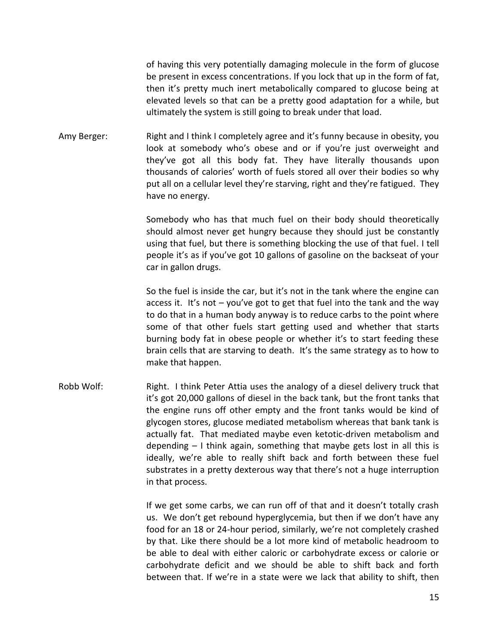of having this very potentially damaging molecule in the form of glucose be present in excess concentrations. If you lock that up in the form of fat, then it's pretty much inert metabolically compared to glucose being at elevated levels so that can be a pretty good adaptation for a while, but ultimately the system is still going to break under that load.

Amy Berger: Right and I think I completely agree and it's funny because in obesity, you look at somebody who's obese and or if you're just overweight and they've got all this body fat. They have literally thousands upon thousands of calories' worth of fuels stored all over their bodies so why put all on a cellular level they're starving, right and they're fatigued. They have no energy.

> Somebody who has that much fuel on their body should theoretically should almost never get hungry because they should just be constantly using that fuel, but there is something blocking the use of that fuel. I tell people it's as if you've got 10 gallons of gasoline on the backseat of your car in gallon drugs.

> So the fuel is inside the car, but it's not in the tank where the engine can access it. It's not – you've got to get that fuel into the tank and the way to do that in a human body anyway is to reduce carbs to the point where some of that other fuels start getting used and whether that starts burning body fat in obese people or whether it's to start feeding these brain cells that are starving to death. It's the same strategy as to how to make that happen.

Robb Wolf: Right. I think Peter Attia uses the analogy of a diesel delivery truck that it's got 20,000 gallons of diesel in the back tank, but the front tanks that the engine runs off other empty and the front tanks would be kind of glycogen stores, glucose mediated metabolism whereas that bank tank is actually fat. That mediated maybe even ketotic-driven metabolism and depending – I think again, something that maybe gets lost in all this is ideally, we're able to really shift back and forth between these fuel substrates in a pretty dexterous way that there's not a huge interruption in that process.

> If we get some carbs, we can run off of that and it doesn't totally crash us. We don't get rebound hyperglycemia, but then if we don't have any food for an 18 or 24-hour period, similarly, we're not completely crashed by that. Like there should be a lot more kind of metabolic headroom to be able to deal with either caloric or carbohydrate excess or calorie or carbohydrate deficit and we should be able to shift back and forth between that. If we're in a state were we lack that ability to shift, then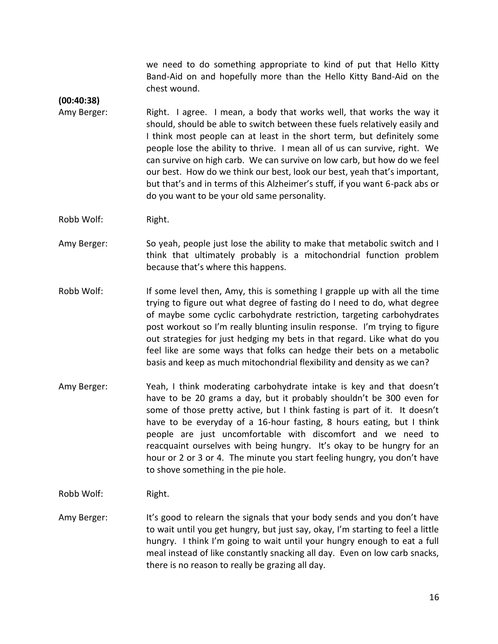we need to do something appropriate to kind of put that Hello Kitty Band-Aid on and hopefully more than the Hello Kitty Band-Aid on the chest wound.

**(00:40:38)**

- Amy Berger: Right. I agree. I mean, a body that works well, that works the way it should, should be able to switch between these fuels relatively easily and I think most people can at least in the short term, but definitely some people lose the ability to thrive. I mean all of us can survive, right. We can survive on high carb. We can survive on low carb, but how do we feel our best. How do we think our best, look our best, yeah that's important, but that's and in terms of this Alzheimer's stuff, if you want 6-pack abs or do you want to be your old same personality.
- Robb Wolf: Right.
- Amy Berger: So yeah, people just lose the ability to make that metabolic switch and I think that ultimately probably is a mitochondrial function problem because that's where this happens.
- Robb Wolf: If some level then, Amy, this is something I grapple up with all the time trying to figure out what degree of fasting do I need to do, what degree of maybe some cyclic carbohydrate restriction, targeting carbohydrates post workout so I'm really blunting insulin response. I'm trying to figure out strategies for just hedging my bets in that regard. Like what do you feel like are some ways that folks can hedge their bets on a metabolic basis and keep as much mitochondrial flexibility and density as we can?
- Amy Berger: Yeah, I think moderating carbohydrate intake is key and that doesn't have to be 20 grams a day, but it probably shouldn't be 300 even for some of those pretty active, but I think fasting is part of it. It doesn't have to be everyday of a 16-hour fasting, 8 hours eating, but I think people are just uncomfortable with discomfort and we need to reacquaint ourselves with being hungry. It's okay to be hungry for an hour or 2 or 3 or 4. The minute you start feeling hungry, you don't have to shove something in the pie hole.
- Robb Wolf: Right.
- Amy Berger: It's good to relearn the signals that your body sends and you don't have to wait until you get hungry, but just say, okay, I'm starting to feel a little hungry. I think I'm going to wait until your hungry enough to eat a full meal instead of like constantly snacking all day. Even on low carb snacks, there is no reason to really be grazing all day.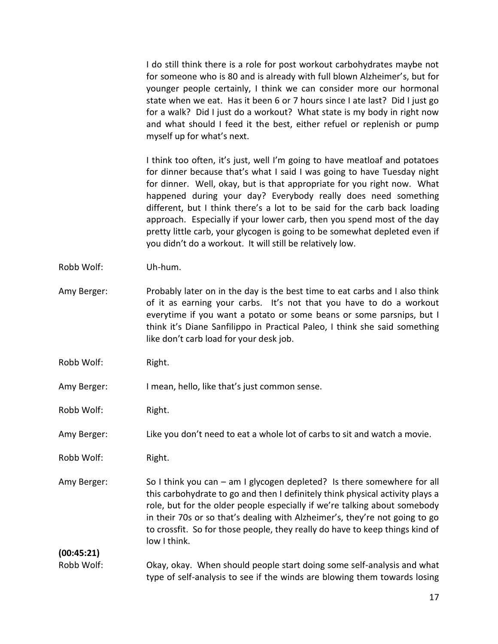I do still think there is a role for post workout carbohydrates maybe not for someone who is 80 and is already with full blown Alzheimer's, but for younger people certainly, I think we can consider more our hormonal state when we eat. Has it been 6 or 7 hours since I ate last? Did I just go for a walk? Did I just do a workout? What state is my body in right now and what should I feed it the best, either refuel or replenish or pump myself up for what's next.

I think too often, it's just, well I'm going to have meatloaf and potatoes for dinner because that's what I said I was going to have Tuesday night for dinner. Well, okay, but is that appropriate for you right now. What happened during your day? Everybody really does need something different, but I think there's a lot to be said for the carb back loading approach. Especially if your lower carb, then you spend most of the day pretty little carb, your glycogen is going to be somewhat depleted even if you didn't do a workout. It will still be relatively low.

- Robb Wolf: Uh-hum.
- Amy Berger: Probably later on in the day is the best time to eat carbs and I also think of it as earning your carbs. It's not that you have to do a workout everytime if you want a potato or some beans or some parsnips, but I think it's Diane Sanfilippo in Practical Paleo, I think she said something like don't carb load for your desk job.
- Robb Wolf: Right.

Amy Berger: I mean, hello, like that's just common sense.

Robb Wolf: Right.

Amy Berger: Like you don't need to eat a whole lot of carbs to sit and watch a movie.

Robb Wolf: Right.

Amy Berger: So I think you can – am I glycogen depleted? Is there somewhere for all this carbohydrate to go and then I definitely think physical activity plays a role, but for the older people especially if we're talking about somebody in their 70s or so that's dealing with Alzheimer's, they're not going to go to crossfit. So for those people, they really do have to keep things kind of low I think.

**(00:45:21)**

Robb Wolf: Okay, okay. When should people start doing some self-analysis and what type of self-analysis to see if the winds are blowing them towards losing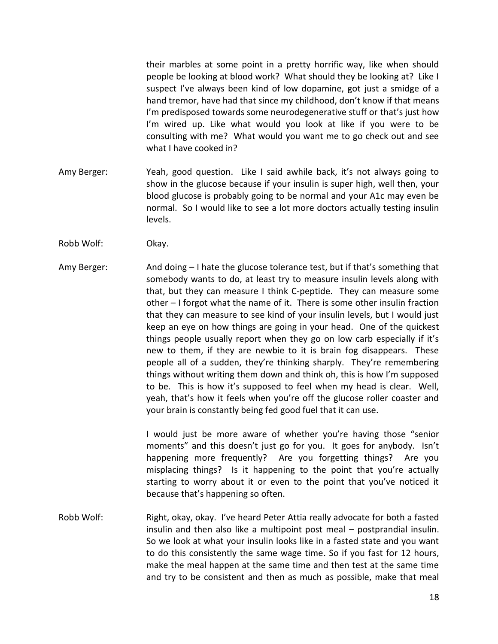their marbles at some point in a pretty horrific way, like when should people be looking at blood work? What should they be looking at? Like I suspect I've always been kind of low dopamine, got just a smidge of a hand tremor, have had that since my childhood, don't know if that means I'm predisposed towards some neurodegenerative stuff or that's just how I'm wired up. Like what would you look at like if you were to be consulting with me? What would you want me to go check out and see what I have cooked in?

- Amy Berger: Yeah, good question. Like I said awhile back, it's not always going to show in the glucose because if your insulin is super high, well then, your blood glucose is probably going to be normal and your A1c may even be normal. So I would like to see a lot more doctors actually testing insulin levels.
- Robb Wolf: Okay.
- Amy Berger: And doing I hate the glucose tolerance test, but if that's something that somebody wants to do, at least try to measure insulin levels along with that, but they can measure I think C-peptide. They can measure some other – I forgot what the name of it. There is some other insulin fraction that they can measure to see kind of your insulin levels, but I would just keep an eye on how things are going in your head. One of the quickest things people usually report when they go on low carb especially if it's new to them, if they are newbie to it is brain fog disappears. These people all of a sudden, they're thinking sharply. They're remembering things without writing them down and think oh, this is how I'm supposed to be. This is how it's supposed to feel when my head is clear. Well, yeah, that's how it feels when you're off the glucose roller coaster and your brain is constantly being fed good fuel that it can use.

I would just be more aware of whether you're having those "senior moments" and this doesn't just go for you. It goes for anybody. Isn't happening more frequently? Are you forgetting things? Are you misplacing things? Is it happening to the point that you're actually starting to worry about it or even to the point that you've noticed it because that's happening so often.

Robb Wolf: Right, okay, okay. I've heard Peter Attia really advocate for both a fasted insulin and then also like a multipoint post meal – postprandial insulin. So we look at what your insulin looks like in a fasted state and you want to do this consistently the same wage time. So if you fast for 12 hours, make the meal happen at the same time and then test at the same time and try to be consistent and then as much as possible, make that meal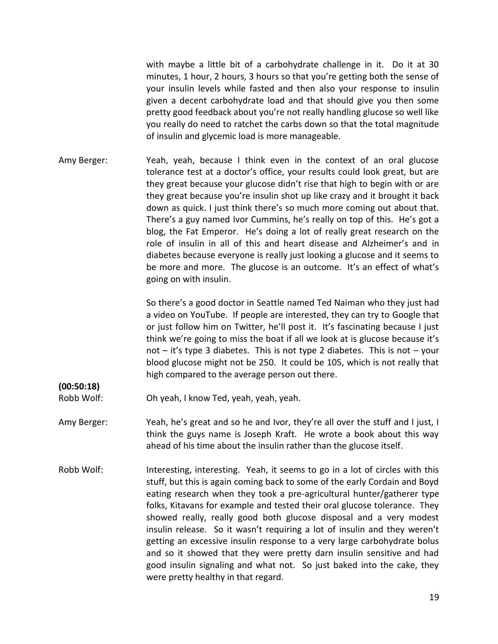with maybe a little bit of a carbohydrate challenge in it. Do it at 30 minutes, 1 hour, 2 hours, 3 hours so that you're getting both the sense of your insulin levels while fasted and then also your response to insulin given a decent carbohydrate load and that should give you then some pretty good feedback about you're not really handling glucose so well like you really do need to ratchet the carbs down so that the total magnitude of insulin and glycemic load is more manageable.

Amy Berger: Yeah, yeah, because I think even in the context of an oral glucose tolerance test at a doctor's office, your results could look great, but are they great because your glucose didn't rise that high to begin with or are they great because you're insulin shot up like crazy and it brought it back down as quick. I just think there's so much more coming out about that. There's a guy named Ivor Cummins, he's really on top of this. He's got a blog, the Fat Emperor. He's doing a lot of really great research on the role of insulin in all of this and heart disease and Alzheimer's and in diabetes because everyone is really just looking a glucose and it seems to be more and more. The glucose is an outcome. It's an effect of what's going on with insulin.

> So there's a good doctor in Seattle named Ted Naiman who they just had a video on YouTube. If people are interested, they can try to Google that or just follow him on Twitter, he'll post it. It's fascinating because I just think we're going to miss the boat if all we look at is glucose because it's not  $-$  it's type 3 diabetes. This is not type 2 diabetes. This is not  $-$  your blood glucose might not be 250. It could be 105, which is not really that high compared to the average person out there.

Robb Wolf: Oh yeah, I know Ted, yeah, yeah, yeah.

**(00:50:18)**

- Amy Berger: Yeah, he's great and so he and Ivor, they're all over the stuff and I just, I think the guys name is Joseph Kraft. He wrote a book about this way ahead of his time about the insulin rather than the glucose itself.
- Robb Wolf: Interesting, interesting. Yeah, it seems to go in a lot of circles with this stuff, but this is again coming back to some of the early Cordain and Boyd eating research when they took a pre-agricultural hunter/gatherer type folks, Kitavans for example and tested their oral glucose tolerance. They showed really, really good both glucose disposal and a very modest insulin release. So it wasn't requiring a lot of insulin and they weren't getting an excessive insulin response to a very large carbohydrate bolus and so it showed that they were pretty darn insulin sensitive and had good insulin signaling and what not. So just baked into the cake, they were pretty healthy in that regard.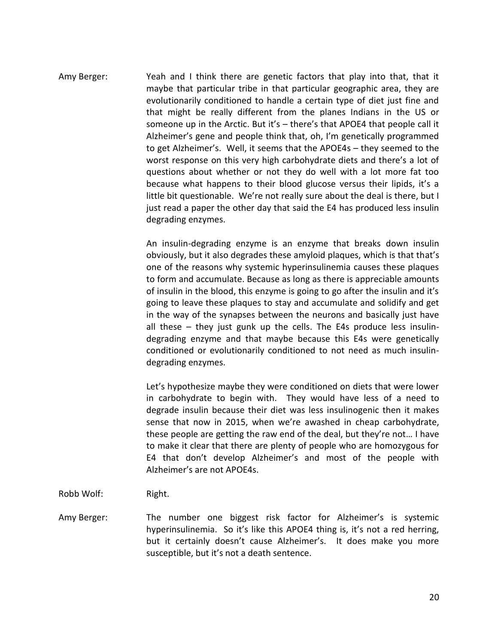Amy Berger: Yeah and I think there are genetic factors that play into that, that it maybe that particular tribe in that particular geographic area, they are evolutionarily conditioned to handle a certain type of diet just fine and that might be really different from the planes Indians in the US or someone up in the Arctic. But it's – there's that APOE4 that people call it Alzheimer's gene and people think that, oh, I'm genetically programmed to get Alzheimer's. Well, it seems that the APOE4s – they seemed to the worst response on this very high carbohydrate diets and there's a lot of questions about whether or not they do well with a lot more fat too because what happens to their blood glucose versus their lipids, it's a little bit questionable. We're not really sure about the deal is there, but I just read a paper the other day that said the E4 has produced less insulin degrading enzymes.

> An insulin-degrading enzyme is an enzyme that breaks down insulin obviously, but it also degrades these amyloid plaques, which is that that's one of the reasons why systemic hyperinsulinemia causes these plaques to form and accumulate. Because as long as there is appreciable amounts of insulin in the blood, this enzyme is going to go after the insulin and it's going to leave these plaques to stay and accumulate and solidify and get in the way of the synapses between the neurons and basically just have all these – they just gunk up the cells. The E4s produce less insulindegrading enzyme and that maybe because this E4s were genetically conditioned or evolutionarily conditioned to not need as much insulindegrading enzymes.

> Let's hypothesize maybe they were conditioned on diets that were lower in carbohydrate to begin with. They would have less of a need to degrade insulin because their diet was less insulinogenic then it makes sense that now in 2015, when we're awashed in cheap carbohydrate, these people are getting the raw end of the deal, but they're not… I have to make it clear that there are plenty of people who are homozygous for E4 that don't develop Alzheimer's and most of the people with Alzheimer's are not APOE4s.

- Robb Wolf: Right.
- Amy Berger: The number one biggest risk factor for Alzheimer's is systemic hyperinsulinemia. So it's like this APOE4 thing is, it's not a red herring, but it certainly doesn't cause Alzheimer's. It does make you more susceptible, but it's not a death sentence.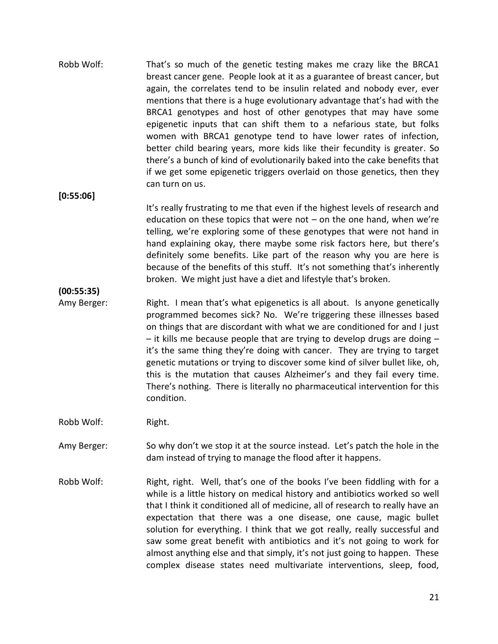Robb Wolf: That's so much of the genetic testing makes me crazy like the BRCA1 breast cancer gene. People look at it as a guarantee of breast cancer, but again, the correlates tend to be insulin related and nobody ever, ever mentions that there is a huge evolutionary advantage that's had with the BRCA1 genotypes and host of other genotypes that may have some epigenetic inputs that can shift them to a nefarious state, but folks women with BRCA1 genotype tend to have lower rates of infection, better child bearing years, more kids like their fecundity is greater. So there's a bunch of kind of evolutionarily baked into the cake benefits that if we get some epigenetic triggers overlaid on those genetics, then they can turn on us.

**[0:55:06]**

It's really frustrating to me that even if the highest levels of research and education on these topics that were not  $-$  on the one hand, when we're telling, we're exploring some of these genotypes that were not hand in hand explaining okay, there maybe some risk factors here, but there's definitely some benefits. Like part of the reason why you are here is because of the benefits of this stuff. It's not something that's inherently broken. We might just have a diet and lifestyle that's broken.

**(00:55:35)**

Amy Berger: Right. I mean that's what epigenetics is all about. Is anyone genetically programmed becomes sick? No. We're triggering these illnesses based on things that are discordant with what we are conditioned for and I just  $-$  it kills me because people that are trying to develop drugs are doing  $$ it's the same thing they're doing with cancer. They are trying to target genetic mutations or trying to discover some kind of silver bullet like, oh, this is the mutation that causes Alzheimer's and they fail every time. There's nothing. There is literally no pharmaceutical intervention for this condition.

Robb Wolf: Right.

- Amy Berger: So why don't we stop it at the source instead. Let's patch the hole in the dam instead of trying to manage the flood after it happens.
- Robb Wolf: Right, right. Well, that's one of the books I've been fiddling with for a while is a little history on medical history and antibiotics worked so well that I think it conditioned all of medicine, all of research to really have an expectation that there was a one disease, one cause, magic bullet solution for everything. I think that we got really, really successful and saw some great benefit with antibiotics and it's not going to work for almost anything else and that simply, it's not just going to happen. These complex disease states need multivariate interventions, sleep, food,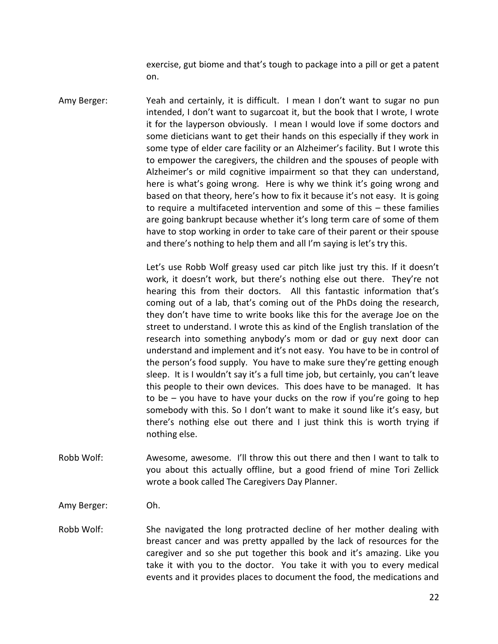exercise, gut biome and that's tough to package into a pill or get a patent on.

Amy Berger: Yeah and certainly, it is difficult. I mean I don't want to sugar no pun intended, I don't want to sugarcoat it, but the book that I wrote, I wrote it for the layperson obviously. I mean I would love if some doctors and some dieticians want to get their hands on this especially if they work in some type of elder care facility or an Alzheimer's facility. But I wrote this to empower the caregivers, the children and the spouses of people with Alzheimer's or mild cognitive impairment so that they can understand, here is what's going wrong. Here is why we think it's going wrong and based on that theory, here's how to fix it because it's not easy. It is going to require a multifaceted intervention and some of this – these families are going bankrupt because whether it's long term care of some of them have to stop working in order to take care of their parent or their spouse and there's nothing to help them and all I'm saying is let's try this.

> Let's use Robb Wolf greasy used car pitch like just try this. If it doesn't work, it doesn't work, but there's nothing else out there. They're not hearing this from their doctors. All this fantastic information that's coming out of a lab, that's coming out of the PhDs doing the research, they don't have time to write books like this for the average Joe on the street to understand. I wrote this as kind of the English translation of the research into something anybody's mom or dad or guy next door can understand and implement and it's not easy. You have to be in control of the person's food supply. You have to make sure they're getting enough sleep. It is I wouldn't say it's a full time job, but certainly, you can't leave this people to their own devices. This does have to be managed. It has to be – you have to have your ducks on the row if you're going to hep somebody with this. So I don't want to make it sound like it's easy, but there's nothing else out there and I just think this is worth trying if nothing else.

Robb Wolf: Awesome, awesome. I'll throw this out there and then I want to talk to you about this actually offline, but a good friend of mine Tori Zellick wrote a book called The Caregivers Day Planner.

Amy Berger: Oh.

Robb Wolf: She navigated the long protracted decline of her mother dealing with breast cancer and was pretty appalled by the lack of resources for the caregiver and so she put together this book and it's amazing. Like you take it with you to the doctor. You take it with you to every medical events and it provides places to document the food, the medications and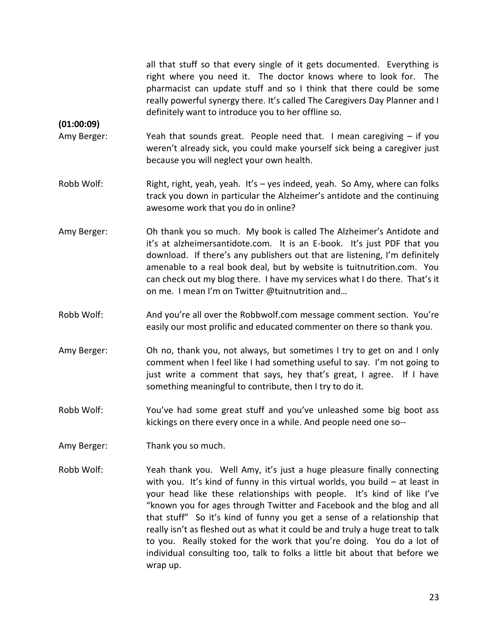all that stuff so that every single of it gets documented. Everything is right where you need it. The doctor knows where to look for. The pharmacist can update stuff and so I think that there could be some really powerful synergy there. It's called The Caregivers Day Planner and I definitely want to introduce you to her offline so.

**(01:00:09)**

- Amy Berger: Yeah that sounds great. People need that. I mean caregiving if you weren't already sick, you could make yourself sick being a caregiver just because you will neglect your own health.
- Robb Wolf: Right, right, yeah, yeah. It's yes indeed, yeah. So Amy, where can folks track you down in particular the Alzheimer's antidote and the continuing awesome work that you do in online?
- Amy Berger: Oh thank you so much. My book is called The Alzheimer's Antidote and it's at alzheimersantidote.com. It is an E-book. It's just PDF that you download. If there's any publishers out that are listening, I'm definitely amenable to a real book deal, but by website is tuitnutrition.com. You can check out my blog there. I have my services what I do there. That's it on me. I mean I'm on Twitter @tuitnutrition and…
- Robb Wolf: And you're all over the Robbwolf.com message comment section. You're easily our most prolific and educated commenter on there so thank you.
- Amy Berger: Oh no, thank you, not always, but sometimes I try to get on and I only comment when I feel like I had something useful to say. I'm not going to just write a comment that says, hey that's great, I agree. If I have something meaningful to contribute, then I try to do it.
- Robb Wolf: You've had some great stuff and you've unleashed some big boot ass kickings on there every once in a while. And people need one so--
- Amy Berger: Thank you so much.
- Robb Wolf: Yeah thank you. Well Amy, it's just a huge pleasure finally connecting with you. It's kind of funny in this virtual worlds, you build – at least in your head like these relationships with people. It's kind of like I've "known you for ages through Twitter and Facebook and the blog and all that stuff" So it's kind of funny you get a sense of a relationship that really isn't as fleshed out as what it could be and truly a huge treat to talk to you. Really stoked for the work that you're doing. You do a lot of individual consulting too, talk to folks a little bit about that before we wrap up.